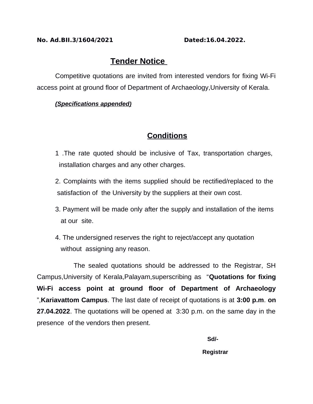#### **No. Ad.BII.3/1604/2021 Dated:16.04.2022.**

# **Tender Notice**

Competitive quotations are invited from interested vendors for fixing Wi-Fi access point at ground floor of Department of Archaeology,University of Kerala.

### *(Specifications appended )*

## **Conditions**

- 1 .The rate quoted should be inclusive of Tax, transportation charges, installation charges and any other charges.
- 2. Complaints with the items supplied should be rectified/replaced to the satisfaction of the University by the suppliers at their own cost.
- 3. Payment will be made only after the supply and installation of the items at our site.
- 4. The undersigned reserves the right to reject/accept any quotation without assigning any reason.

The sealed quotations should be addressed to the Registrar, SH Campus,University of Kerala,Palayam,superscribing as "**Quotations for fixing Wi-Fi access point at ground floor of Department of Archaeology** ",**Kariavattom Campus**. The last date of receipt of quotations is at **3:00 p.m**. **on 27.04.2022**. The quotations will be opened at 3:30 p.m. on the same day in the presence of the vendors then present.

 **Sd/-**

#### **Registrar**